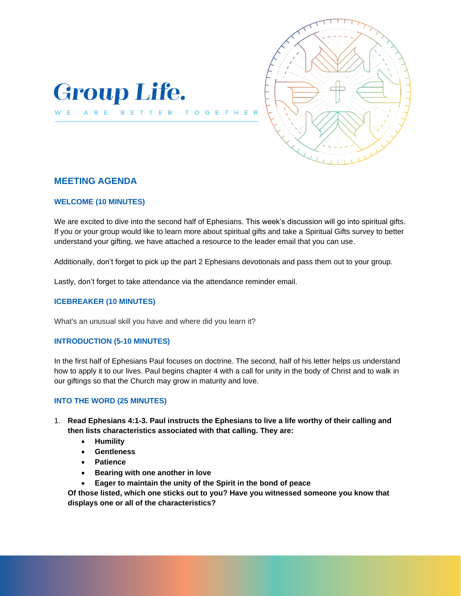



## **MEETING AGENDA**

## **WELCOME (10 MINUTES)**

We are excited to dive into the second half of Ephesians. This week's discussion will go into spiritual gifts. If you or your group would like to learn more about spiritual gifts and take a Spiritual Gifts survey to better understand your gifting, we have attached a resource to the leader email that you can use.

 $\mathbf{T}$ 

Additionally, don't forget to pick up the part 2 Ephesians devotionals and pass them out to your group.

Lastly, don't forget to take attendance via the attendance reminder email.

## **ICEBREAKER (10 MINUTES)**

What's an unusual skill you have and where did you learn it?

#### **INTRODUCTION (5-10 MINUTES)**

In the first half of Ephesians Paul focuses on doctrine. The second, half of his letter helps us understand how to apply it to our lives. Paul begins chapter 4 with a call for unity in the body of Christ and to walk in our giftings so that the Church may grow in maturity and love.

#### **INTO THE WORD (25 MINUTES)**

- 1. **Read Ephesians 4:1-3. Paul instructs the Ephesians to live a life worthy of their calling and then lists characteristics associated with that calling. They are:**
	- **Humility**
	- **Gentleness**
	- **Patience**
	- **Bearing with one another in love**
	- **Eager to maintain the unity of the Spirit in the bond of peace**

**Of those listed, which one sticks out to you? Have you witnessed someone you know that displays one or all of the characteristics?**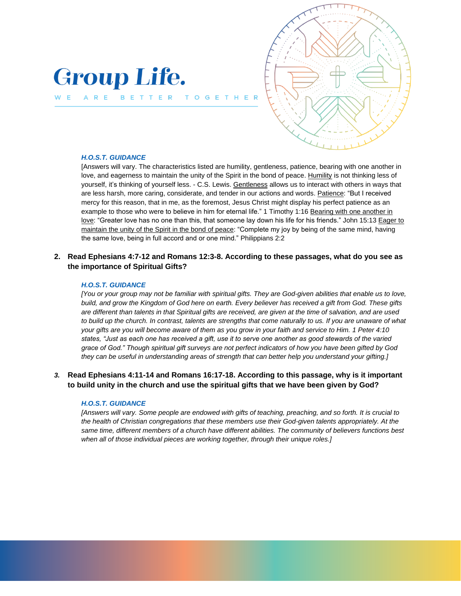# **Group Life.**

BETTER

T O

ARE



#### *H.O.S.T. GUIDANCE*

[Answers will vary. The characteristics listed are humility, gentleness, patience, bearing with one another in love, and eagerness to maintain the unity of the Spirit in the bond of peace. Humility is not thinking less of yourself, it's thinking of yourself less. - C.S. Lewis. Gentleness allows us to interact with others in ways that are less harsh, more caring, considerate, and tender in our actions and words. Patience: "But I received mercy for this reason, that in me, as the foremost, Jesus Christ might display his perfect patience as an example to those who were to believe in him for eternal life." 1 Timothy 1:16 Bearing with one another in love: "Greater love has no one than this, that someone lay down his life for his friends." John 15:13 Eager to maintain the unity of the Spirit in the bond of peace: "Complete my joy by being of the same mind, having the same love, being in full accord and or one mind." Philippians 2:2

**2. Read Ephesians 4:7-12 and Romans 12:3-8. According to these passages, what do you see as the importance of Spiritual Gifts?**

#### *H.O.S.T. GUIDANCE*

*[You or your group may not be familiar with spiritual gifts. They are God-given abilities that enable us to love, build, and grow the Kingdom of God here on earth. Every believer has received a gift from God. These gifts are different than talents in that Spiritual gifts are received, are given at the time of salvation, and are used to build up the church. In contrast, talents are strengths that come naturally to us. If you are unaware of what your gifts are you will become aware of them as you grow in your faith and service to Him. 1 Peter 4:10 states, "Just as each one has received a gift, use it to serve one another as good stewards of the varied grace of God." Though spiritual gift surveys are not perfect indicators of how you have been gifted by God they can be useful in understanding areas of strength that can better help you understand your gifting.]*

## *3.* **Read Ephesians 4:11-14 and Romans 16:17-18. According to this passage, why is it important to build unity in the church and use the spiritual gifts that we have been given by God?**

#### *H.O.S.T. GUIDANCE*

*[Answers will vary. Some people are endowed with gifts of teaching, preaching, and so forth. It is crucial to the health of Christian congregations that these members use their God-given talents appropriately. At the same time, different members of a church have different abilities. The community of believers functions best when all of those individual pieces are working together, through their unique roles.]*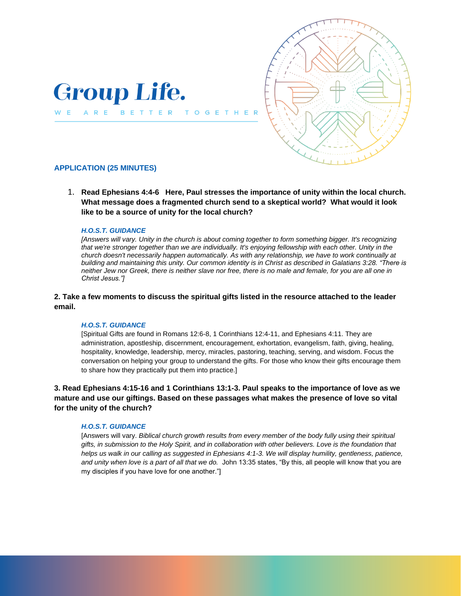

BETTER



## **APPLICATION (25 MINUTES)**

ARE

W E

1. **Read Ephesians 4:4-6 Here, Paul stresses the importance of unity within the local church. What message does a fragmented church send to a skeptical world? What would it look like to be a source of unity for the local church?**

TO G

E

#### *H.O.S.T. GUIDANCE*

*[Answers will vary. Unity in the church is about coming together to form something bigger. It's recognizing that we're stronger together than we are individually. It's enjoying fellowship with each other. Unity in the church doesn't necessarily happen automatically. As with any relationship, we have to work continually at building and maintaining this unity. Our common identity is in Christ as described in Galatians 3:28. "There is neither Jew nor Greek, there is neither slave nor free, there is no male and female, for you are all one in Christ Jesus."]* 

## **2. Take a few moments to discuss the spiritual gifts listed in the resource attached to the leader email.**

#### *H.O.S.T. GUIDANCE*

[Spiritual Gifts are found in Romans 12:6-8, 1 Corinthians 12:4-11, and Ephesians 4:11. They are administration, apostleship, discernment, encouragement, exhortation, evangelism, faith, giving, healing, hospitality, knowledge, leadership, mercy, miracles, pastoring, teaching, serving, and wisdom. Focus the conversation on helping your group to understand the gifts. For those who know their gifts encourage them to share how they practically put them into practice.]

**3. Read Ephesians 4:15-16 and 1 Corinthians 13:1-3. Paul speaks to the importance of love as we mature and use our giftings. Based on these passages what makes the presence of love so vital for the unity of the church?** 

#### *H.O.S.T. GUIDANCE*

[Answers will vary. *Biblical church growth results from every member of the body fully using their spiritual gifts, in submission to the Holy Spirit, and in collaboration with other believers. Love is the foundation that*  helps us walk in our calling as suggested in Ephesians 4:1-3. We will display humility, gentleness, patience, *and unity when love is a part of all that we do.* John 13:35 states, "By this, all people will know that you are my disciples if you have love for one another."]